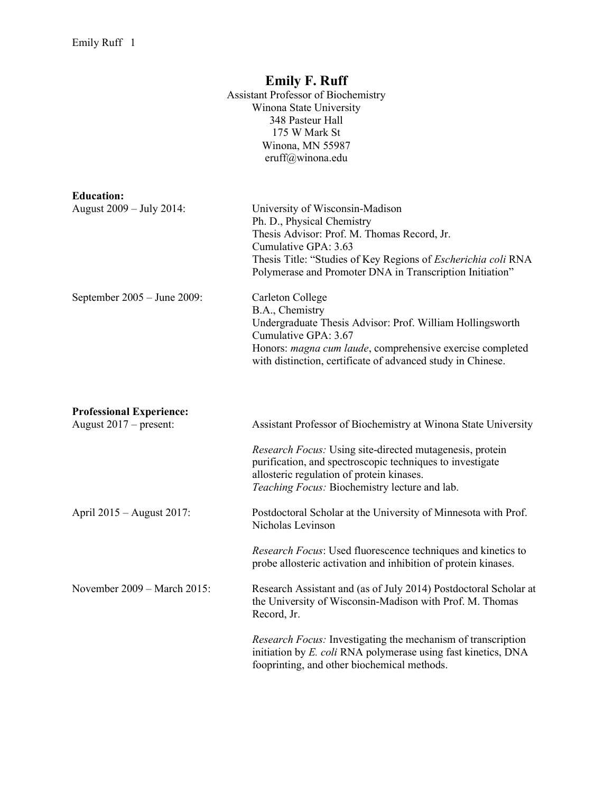## Emily F. Ruff Assistant Professor of Biochemistry Winona State University 348 Pasteur Hall 175 W Mark St Winona, MN 55987 eruff@winona.edu Education: August 2009 – July 2014: University of Wisconsin-Madison Ph. D., Physical Chemistry Thesis Advisor: Prof. M. Thomas Record, Jr. Cumulative GPA: 3.63 Thesis Title: "Studies of Key Regions of Escherichia coli RNA Polymerase and Promoter DNA in Transcription Initiation" September 2005 – June 2009: Carleton College B.A., Chemistry Undergraduate Thesis Advisor: Prof. William Hollingsworth Cumulative GPA: 3.67 Honors: magna cum laude, comprehensive exercise completed with distinction, certificate of advanced study in Chinese. Professional Experience: August 2017 – present: Assistant Professor of Biochemistry at Winona State University Research Focus: Using site-directed mutagenesis, protein purification, and spectroscopic techniques to investigate allosteric regulation of protein kinases. Teaching Focus: Biochemistry lecture and lab. April 2015 – August 2017: Postdoctoral Scholar at the University of Minnesota with Prof. Nicholas Levinson Research Focus: Used fluorescence techniques and kinetics to probe allosteric activation and inhibition of protein kinases. November 2009 – March 2015: Research Assistant and (as of July 2014) Postdoctoral Scholar at the University of Wisconsin-Madison with Prof. M. Thomas Record, Jr. Research Focus: Investigating the mechanism of transcription initiation by E. coli RNA polymerase using fast kinetics, DNA

fooprinting, and other biochemical methods.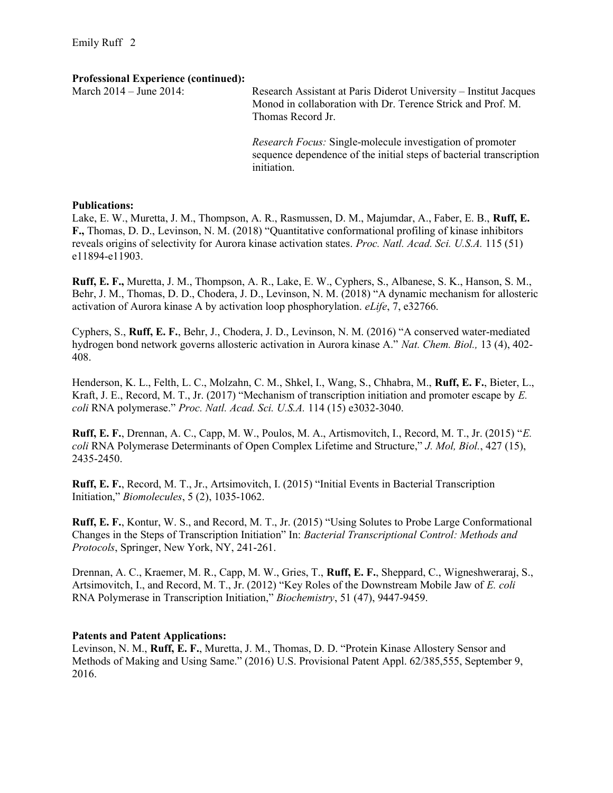#### Professional Experience (continued):

| March 2014 – June 2014: | Research Assistant at Paris Diderot University - Institut Jacques<br>Monod in collaboration with Dr. Terence Strick and Prof. M.<br>Thomas Record Jr. |
|-------------------------|-------------------------------------------------------------------------------------------------------------------------------------------------------|
|                         | <i>Research Focus:</i> Single-molecule investigation of promoter<br>sequence dependence of the initial steps of bacterial transcription               |

#### Publications:

Lake, E. W., Muretta, J. M., Thompson, A. R., Rasmussen, D. M., Majumdar, A., Faber, E. B., Ruff, E. F., Thomas, D. D., Levinson, N. M. (2018) "Quantitative conformational profiling of kinase inhibitors reveals origins of selectivity for Aurora kinase activation states. *Proc. Natl. Acad. Sci. U.S.A.* 115 (51) e11894-e11903.

initiation.

Ruff, E. F., Muretta, J. M., Thompson, A. R., Lake, E. W., Cyphers, S., Albanese, S. K., Hanson, S. M., Behr, J. M., Thomas, D. D., Chodera, J. D., Levinson, N. M. (2018) "A dynamic mechanism for allosteric activation of Aurora kinase A by activation loop phosphorylation. eLife, 7, e32766.

Cyphers, S., Ruff, E. F., Behr, J., Chodera, J. D., Levinson, N. M. (2016) "A conserved water-mediated hydrogen bond network governs allosteric activation in Aurora kinase A." Nat. Chem. Biol., 13 (4), 402- 408.

Henderson, K. L., Felth, L. C., Molzahn, C. M., Shkel, I., Wang, S., Chhabra, M., Ruff, E. F., Bieter, L., Kraft, J. E., Record, M. T., Jr. (2017) "Mechanism of transcription initiation and promoter escape by E. coli RNA polymerase." Proc. Natl. Acad. Sci. U.S.A. 114 (15) e3032-3040.

Ruff, E. F., Drennan, A. C., Capp, M. W., Poulos, M. A., Artismovitch, I., Record, M. T., Jr. (2015) "E. coli RNA Polymerase Determinants of Open Complex Lifetime and Structure," J. Mol, Biol., 427 (15), 2435-2450.

Ruff, E. F., Record, M. T., Jr., Artsimovitch, I. (2015) "Initial Events in Bacterial Transcription Initiation," Biomolecules, 5 (2), 1035-1062.

Ruff, E. F., Kontur, W. S., and Record, M. T., Jr. (2015) "Using Solutes to Probe Large Conformational Changes in the Steps of Transcription Initiation" In: Bacterial Transcriptional Control: Methods and Protocols, Springer, New York, NY, 241-261.

Drennan, A. C., Kraemer, M. R., Capp, M. W., Gries, T., Ruff, E. F., Sheppard, C., Wigneshweraraj, S., Artsimovitch, I., and Record, M. T., Jr. (2012) "Key Roles of the Downstream Mobile Jaw of E. coli RNA Polymerase in Transcription Initiation," Biochemistry, 51 (47), 9447-9459.

### Patents and Patent Applications:

Levinson, N. M., Ruff, E. F., Muretta, J. M., Thomas, D. D. "Protein Kinase Allostery Sensor and Methods of Making and Using Same." (2016) U.S. Provisional Patent Appl. 62/385,555, September 9, 2016.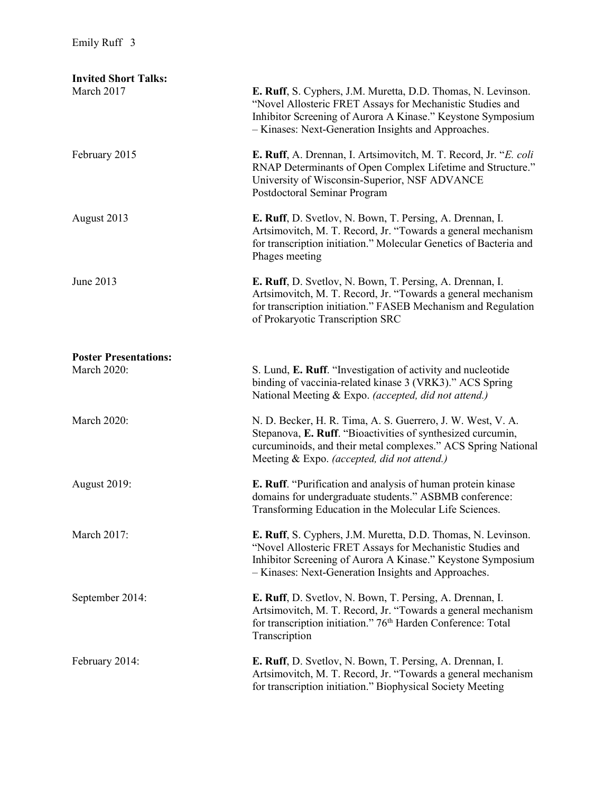| <b>Invited Short Talks:</b><br>March 2017 | E. Ruff, S. Cyphers, J.M. Muretta, D.D. Thomas, N. Levinson.                                                                                                                                                                                    |
|-------------------------------------------|-------------------------------------------------------------------------------------------------------------------------------------------------------------------------------------------------------------------------------------------------|
|                                           | "Novel Allosteric FRET Assays for Mechanistic Studies and<br>Inhibitor Screening of Aurora A Kinase." Keystone Symposium<br>- Kinases: Next-Generation Insights and Approaches.                                                                 |
| February 2015                             | E. Ruff, A. Drennan, I. Artsimovitch, M. T. Record, Jr. "E. coli<br>RNAP Determinants of Open Complex Lifetime and Structure."<br>University of Wisconsin-Superior, NSF ADVANCE<br>Postdoctoral Seminar Program                                 |
| August 2013                               | E. Ruff, D. Svetlov, N. Bown, T. Persing, A. Drennan, I.<br>Artsimovitch, M. T. Record, Jr. "Towards a general mechanism<br>for transcription initiation." Molecular Genetics of Bacteria and<br>Phages meeting                                 |
| June 2013                                 | E. Ruff, D. Svetlov, N. Bown, T. Persing, A. Drennan, I.<br>Artsimovitch, M. T. Record, Jr. "Towards a general mechanism<br>for transcription initiation." FASEB Mechanism and Regulation<br>of Prokaryotic Transcription SRC                   |
| <b>Poster Presentations:</b>              |                                                                                                                                                                                                                                                 |
| <b>March 2020:</b>                        | S. Lund, E. Ruff. "Investigation of activity and nucleotide<br>binding of vaccinia-related kinase 3 (VRK3)." ACS Spring<br>National Meeting & Expo. (accepted, did not attend.)                                                                 |
| <b>March 2020:</b>                        | N. D. Becker, H. R. Tima, A. S. Guerrero, J. W. West, V. A.<br>Stepanova, E. Ruff. "Bioactivities of synthesized curcumin,<br>curcuminoids, and their metal complexes." ACS Spring National<br>Meeting & Expo. (accepted, did not attend.)      |
| <b>August 2019:</b>                       | E. Ruff. "Purification and analysis of human protein kinase<br>domains for undergraduate students." ASBMB conference:<br>Transforming Education in the Molecular Life Sciences.                                                                 |
| March 2017:                               | E. Ruff, S. Cyphers, J.M. Muretta, D.D. Thomas, N. Levinson.<br>"Novel Allosteric FRET Assays for Mechanistic Studies and<br>Inhibitor Screening of Aurora A Kinase." Keystone Symposium<br>- Kinases: Next-Generation Insights and Approaches. |
| September 2014:                           | E. Ruff, D. Svetlov, N. Bown, T. Persing, A. Drennan, I.<br>Artsimovitch, M. T. Record, Jr. "Towards a general mechanism<br>for transcription initiation." 76 <sup>th</sup> Harden Conference: Total<br>Transcription                           |
| February 2014:                            | E. Ruff, D. Svetlov, N. Bown, T. Persing, A. Drennan, I.<br>Artsimovitch, M. T. Record, Jr. "Towards a general mechanism<br>for transcription initiation." Biophysical Society Meeting                                                          |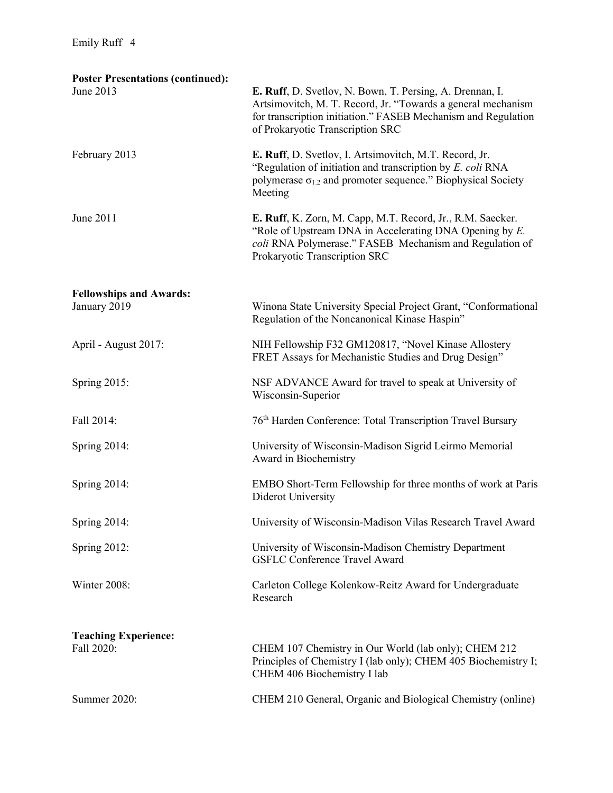| <b>Poster Presentations (continued):</b><br>June 2013 | E. Ruff, D. Svetlov, N. Bown, T. Persing, A. Drennan, I.<br>Artsimovitch, M. T. Record, Jr. "Towards a general mechanism<br>for transcription initiation." FASEB Mechanism and Regulation<br>of Prokaryotic Transcription SRC |
|-------------------------------------------------------|-------------------------------------------------------------------------------------------------------------------------------------------------------------------------------------------------------------------------------|
| February 2013                                         | E. Ruff, D. Svetlov, I. Artsimovitch, M.T. Record, Jr.<br>"Regulation of initiation and transcription by E. coli RNA<br>polymerase $\sigma_{1,2}$ and promoter sequence." Biophysical Society<br>Meeting                      |
| June 2011                                             | E. Ruff, K. Zorn, M. Capp, M.T. Record, Jr., R.M. Saecker.<br>"Role of Upstream DNA in Accelerating DNA Opening by $E$ .<br>coli RNA Polymerase." FASEB Mechanism and Regulation of<br>Prokaryotic Transcription SRC          |
| <b>Fellowships and Awards:</b><br>January 2019        | Winona State University Special Project Grant, "Conformational<br>Regulation of the Noncanonical Kinase Haspin"                                                                                                               |
| April - August 2017:                                  | NIH Fellowship F32 GM120817, "Novel Kinase Allostery<br>FRET Assays for Mechanistic Studies and Drug Design"                                                                                                                  |
| Spring 2015:                                          | NSF ADVANCE Award for travel to speak at University of<br>Wisconsin-Superior                                                                                                                                                  |
| Fall 2014:                                            | 76 <sup>th</sup> Harden Conference: Total Transcription Travel Bursary                                                                                                                                                        |
| Spring 2014:                                          | University of Wisconsin-Madison Sigrid Leirmo Memorial<br>Award in Biochemistry                                                                                                                                               |
| Spring 2014:                                          | EMBO Short-Term Fellowship for three months of work at Paris<br>Diderot University                                                                                                                                            |
| Spring 2014:                                          | University of Wisconsin-Madison Vilas Research Travel Award                                                                                                                                                                   |
| Spring 2012:                                          | University of Wisconsin-Madison Chemistry Department<br><b>GSFLC Conference Travel Award</b>                                                                                                                                  |
| Winter 2008:                                          | Carleton College Kolenkow-Reitz Award for Undergraduate<br>Research                                                                                                                                                           |
| <b>Teaching Experience:</b><br>Fall 2020:             | CHEM 107 Chemistry in Our World (lab only); CHEM 212<br>Principles of Chemistry I (lab only); CHEM 405 Biochemistry I;<br>CHEM 406 Biochemistry I lab                                                                         |
| Summer 2020:                                          | CHEM 210 General, Organic and Biological Chemistry (online)                                                                                                                                                                   |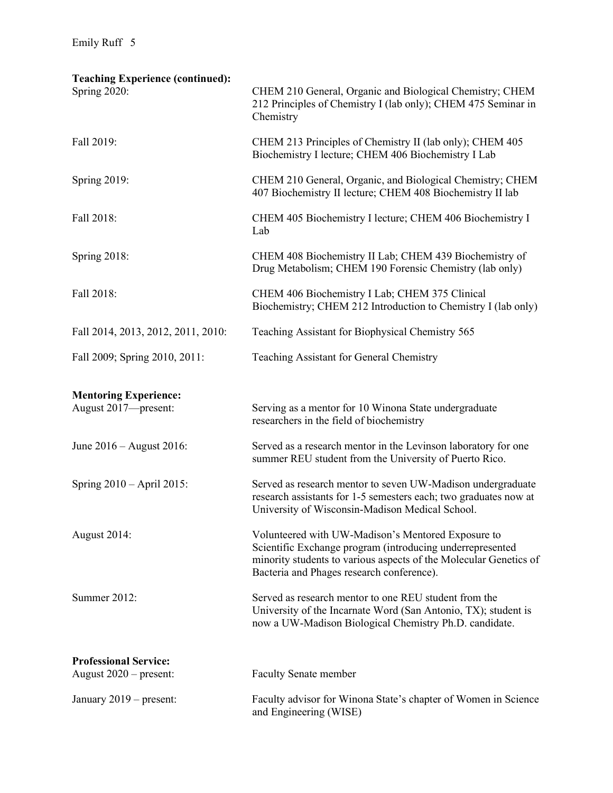| <b>Teaching Experience (continued):</b><br>Spring 2020: | CHEM 210 General, Organic and Biological Chemistry; CHEM<br>212 Principles of Chemistry I (lab only); CHEM 475 Seminar in<br>Chemistry                                                                                            |
|---------------------------------------------------------|-----------------------------------------------------------------------------------------------------------------------------------------------------------------------------------------------------------------------------------|
| Fall 2019:                                              | CHEM 213 Principles of Chemistry II (lab only); CHEM 405<br>Biochemistry I lecture; CHEM 406 Biochemistry I Lab                                                                                                                   |
| Spring 2019:                                            | CHEM 210 General, Organic, and Biological Chemistry; CHEM<br>407 Biochemistry II lecture; CHEM 408 Biochemistry II lab                                                                                                            |
| Fall 2018:                                              | CHEM 405 Biochemistry I lecture; CHEM 406 Biochemistry I<br>Lab                                                                                                                                                                   |
| Spring 2018:                                            | CHEM 408 Biochemistry II Lab; CHEM 439 Biochemistry of<br>Drug Metabolism; CHEM 190 Forensic Chemistry (lab only)                                                                                                                 |
| Fall 2018:                                              | CHEM 406 Biochemistry I Lab; CHEM 375 Clinical<br>Biochemistry; CHEM 212 Introduction to Chemistry I (lab only)                                                                                                                   |
| Fall 2014, 2013, 2012, 2011, 2010:                      | Teaching Assistant for Biophysical Chemistry 565                                                                                                                                                                                  |
| Fall 2009; Spring 2010, 2011:                           | Teaching Assistant for General Chemistry                                                                                                                                                                                          |
| <b>Mentoring Experience:</b><br>August 2017-present:    | Serving as a mentor for 10 Winona State undergraduate<br>researchers in the field of biochemistry                                                                                                                                 |
| June $2016$ – August 2016:                              | Served as a research mentor in the Levinson laboratory for one<br>summer REU student from the University of Puerto Rico.                                                                                                          |
| Spring $2010 -$ April 2015:                             | Served as research mentor to seven UW-Madison undergraduate<br>research assistants for 1-5 semesters each; two graduates now at<br>University of Wisconsin-Madison Medical School.                                                |
| August 2014:                                            | Volunteered with UW-Madison's Mentored Exposure to<br>Scientific Exchange program (introducing underrepresented<br>minority students to various aspects of the Molecular Genetics of<br>Bacteria and Phages research conference). |
| Summer 2012:                                            | Served as research mentor to one REU student from the<br>University of the Incarnate Word (San Antonio, TX); student is<br>now a UW-Madison Biological Chemistry Ph.D. candidate.                                                 |
| <b>Professional Service:</b>                            |                                                                                                                                                                                                                                   |
| August $2020$ – present:                                | <b>Faculty Senate member</b>                                                                                                                                                                                                      |
| January 2019 – present:                                 | Faculty advisor for Winona State's chapter of Women in Science<br>and Engineering (WISE)                                                                                                                                          |